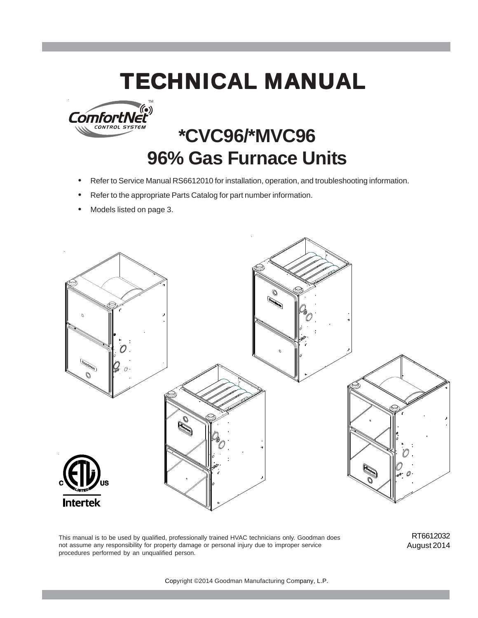# **TECHNICAL MANUAL**



# **\*CVC96/\*MVC96 96% Gas Furnace Units**

- Refer to Service Manual RS6612010 for installation, operation, and troubleshooting information.
- Refer to the appropriate Parts Catalog for part number information.
- Models listed on page 3.



This manual is to be used by qualified, professionally trained HVAC technicians only. Goodman does not assume any responsibility for property damage or personal injury due to improper service procedures performed by an unqualified person.

RT6612032 August 2014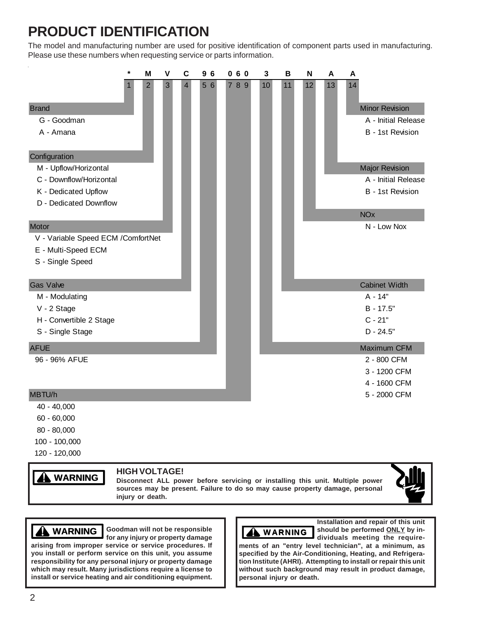# **PRODUCT IDENTIFICATION**

The model and manufacturing number are used for positive identification of component parts used in manufacturing. Please use these numbers when requesting service or parts information.

|                                     | $\star$ | M              | $\mathsf{V}$ | $\mathbf c$    | 96  | 060 | 3  | B  | N  | A  | A                     |
|-------------------------------------|---------|----------------|--------------|----------------|-----|-----|----|----|----|----|-----------------------|
|                                     |         | $\overline{c}$ | 3            | $\overline{4}$ | 5 6 | 789 | 10 | 11 | 12 | 13 | 14                    |
| <b>Brand</b>                        |         |                |              |                |     |     |    |    |    |    | <b>Minor Revision</b> |
| G - Goodman                         |         |                |              |                |     |     |    |    |    |    | A - Initial Release   |
| A - Amana                           |         |                |              |                |     |     |    |    |    |    | B - 1st Revision      |
| Configuration                       |         |                |              |                |     |     |    |    |    |    |                       |
| M - Upflow/Horizontal               |         |                |              |                |     |     |    |    |    |    | <b>Major Revision</b> |
| C - Downflow/Horizontal             |         |                |              |                |     |     |    |    |    |    | A - Initial Release   |
| K - Dedicated Upflow                |         |                |              |                |     |     |    |    |    |    | B - 1st Revision      |
| D - Dedicated Downflow              |         |                |              |                |     |     |    |    |    |    |                       |
|                                     |         |                |              |                |     |     |    |    |    |    | <b>NO<sub>x</sub></b> |
| Motor                               |         |                |              |                |     |     |    |    |    |    | N - Low Nox           |
| V - Variable Speed ECM / ComfortNet |         |                |              |                |     |     |    |    |    |    |                       |
| E - Multi-Speed ECM                 |         |                |              |                |     |     |    |    |    |    |                       |
| S - Single Speed                    |         |                |              |                |     |     |    |    |    |    |                       |
| <b>Gas Valve</b>                    |         |                |              |                |     |     |    |    |    |    | <b>Cabinet Width</b>  |
| M - Modulating                      |         |                |              |                |     |     |    |    |    |    | $A - 14"$             |
| V - 2 Stage                         |         |                |              |                |     |     |    |    |    |    | B - 17.5"             |
| H - Convertible 2 Stage             |         |                |              |                |     |     |    |    |    |    | $C - 21"$             |
| S - Single Stage                    |         |                |              |                |     |     |    |    |    |    | $D - 24.5"$           |
| <b>AFUE</b>                         |         |                |              |                |     |     |    |    |    |    | Maximum CFM           |
| 96 - 96% AFUE                       |         |                |              |                |     |     |    |    |    |    | 2 - 800 CFM           |
|                                     |         |                |              |                |     |     |    |    |    |    | 3 - 1200 CFM          |
|                                     |         |                |              |                |     |     |    |    |    |    | 4 - 1600 CFM          |
| MBTU/h                              |         |                |              |                |     |     |    |    |    |    | 5 - 2000 CFM          |
| 40 - 40,000                         |         |                |              |                |     |     |    |    |    |    |                       |
| $60 - 60,000$                       |         |                |              |                |     |     |    |    |    |    |                       |
| 80 - 80,000                         |         |                |              |                |     |     |    |    |    |    |                       |
| 100 - 100,000                       |         |                |              |                |     |     |    |    |    |    |                       |

120 - 120,000

# **WARNING**

### **HIGH VOLTAGE!**

**Disconnect ALL power before servicing or installing this unit. Multiple power sources may be present. Failure to do so may cause property damage, personal injury or death.**



**WARNING WARNING**

Goodman will not be responsible **NAMIG for any injury or property damage**

**arising from improper service or service procedures. If you install or perform service on this unit, you assume responsibility for any personal injury or property damage which may result. Many jurisdictions require a license to install or service heating and air conditioning equipment.**



**Installation and repair of this unit should be performed ONLY by individuals meeting the require-**

**ments of an "entry level technician", at a minimum, as specified by the Air-Conditioning, Heating, and Refrigeration Institute (AHRI). Attempting to install or repair this unit without such background may result in product damage, personal injury or death.**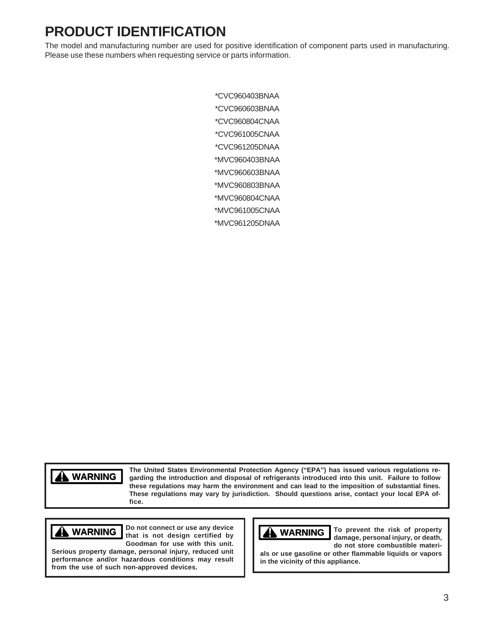# **PRODUCT IDENTIFICATION**

The model and manufacturing number are used for positive identification of component parts used in manufacturing. Please use these numbers when requesting service or parts information.

> \*CVC960403BNAA \*CVC960603BNAA \*CVC960804CNAA \*CVC961005CNAA \*CVC961205DNAA \*MVC960403BNAA \*MVC960603BNAA \*MVC960803BNAA \*MVC960804CNAA \*MVC961005CNAA \*MVC961205DNAA

**WARNING WARNING**

**The United States Environmental Protection Agency ("EPA") has issued various regulations regarding the introduction and disposal of refrigerants introduced into this unit. Failure to follow these regulations may harm the environment and can lead to the imposition of substantial fines. These regulations may vary by jurisdiction. Should questions arise, contact your local EPA office.**

# **WARNING**

**Do not connect or use any device that is not design certified by Goodman for use with this unit.**

**Serious property damage, personal injury, reduced unit performance and/or hazardous conditions may result from the use of such non-approved devices.**



**To prevent the risk of property damage, personal injury, or death, do not store combustible materi-**

**als or use gasoline or other flammable liquids or vapors in the vicinity of this appliance.**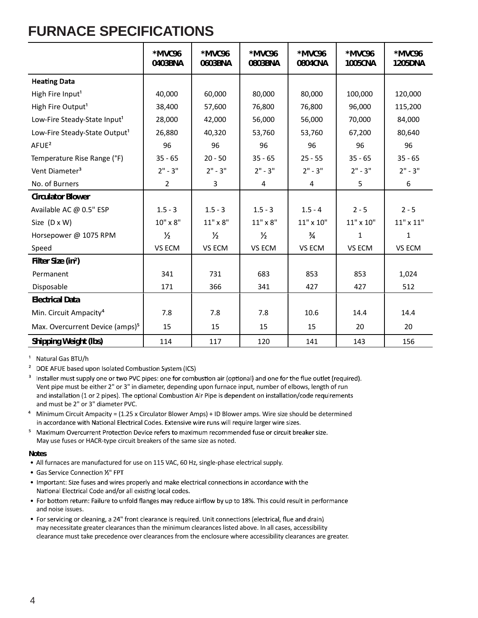# **FURNACE SPECIFICATIONS**

|                                             | *MVC96<br>0403BNA | *MVC96<br>0603BNA | *MVC96<br>0803BNA | *MVC96<br>0804CNA | *MVC96<br><b>1005CNA</b> | *MVC96<br><b>1205DNA</b> |
|---------------------------------------------|-------------------|-------------------|-------------------|-------------------|--------------------------|--------------------------|
| <b>Heating Data</b>                         |                   |                   |                   |                   |                          |                          |
| High Fire Input <sup>1</sup>                | 40,000            | 60,000            | 80,000            | 80,000            | 100,000                  | 120,000                  |
| High Fire Output <sup>1</sup>               | 38,400            | 57,600            | 76,800            | 76,800            | 96,000                   | 115,200                  |
| Low-Fire Steady-State Input <sup>1</sup>    | 28,000            | 42,000            | 56,000            | 56,000            | 70,000                   | 84,000                   |
| Low-Fire Steady-State Output <sup>1</sup>   | 26,880            | 40,320            | 53,760            | 53,760            | 67,200                   | 80,640                   |
| AFUE <sup>2</sup>                           | 96                | 96                | 96                | 96                | 96                       | 96                       |
| Temperature Rise Range (°F)                 | $35 - 65$         | $20 - 50$         | $35 - 65$         | $25 - 55$         | $35 - 65$                | $35 - 65$                |
| Vent Diameter <sup>3</sup>                  | $2" - 3"$         | $2" - 3"$         | $2" - 3"$         | $2" - 3"$         | $2" - 3"$                | $2" - 3"$                |
| No. of Burners                              | $\overline{2}$    | 3                 | 4                 | 4                 | 5                        | 6                        |
| <b>Circulator Blower</b>                    |                   |                   |                   |                   |                          |                          |
| Available AC @ 0.5" ESP                     | $1.5 - 3$         | $1.5 - 3$         | $1.5 - 3$         | $1.5 - 4$         | $2 - 5$                  | $2 - 5$                  |
| Size (D x W)                                | 10" x 8"          | $11" \times 8"$   | $11" \times 8"$   | 11" x 10"         | 11" x 10"                | $11"$ x $11"$            |
| Horsepower @ 1075 RPM                       | $\frac{1}{2}$     | $\frac{1}{2}$     | $\frac{1}{2}$     | $\frac{3}{4}$     | 1                        | 1                        |
| Speed                                       | VS ECM            | VS ECM            | VS ECM            | VS ECM            | VS ECM                   | VS ECM                   |
| Filter Size (in <sup>2</sup> )              |                   |                   |                   |                   |                          |                          |
| Permanent                                   | 341               | 731               | 683               | 853               | 853                      | 1,024                    |
| Disposable                                  | 171               | 366               | 341               | 427               | 427                      | 512                      |
| <b>Electrical Data</b>                      |                   |                   |                   |                   |                          |                          |
| Min. Circuit Ampacity <sup>4</sup>          | 7.8               | 7.8               | 7.8               | 10.6              | 14.4                     | 14.4                     |
| Max. Overcurrent Device (amps) <sup>5</sup> | 15                | 15                | 15                | 15                | 20                       | 20                       |
| <b>Shipping Weight (lbs)</b>                | 114               | 117               | 120               | 141               | 143                      | 156                      |

<sup>1</sup> Natural Gas BTU/h

<sup>2</sup> DOE AFUE based upon Isolated Combustion System (ICS)

<sup>3</sup> Installer must supply one or two PVC pipes: one for combustion air (optional) and one for the flue outlet (required). Vent pipe must be either 2" or 3" in diameter, depending upon furnace input, number of elbows, length of run and installation (1 or 2 pipes). The optional Combustion Air Pipe is dependent on installation/code requirements and must be 2" or 3" diameter PVC.

- ⁴ Minimum Circuit Ampacity = (1.25 x Circulator Blower Amps) + ID Blower amps. Wire size should be determined in accordance with National Electrical Codes. Extensive wire runs will require larger wire sizes.
- <sup>5</sup> Maximum Overcurrent Protection Device refers to maximum recommended fuse or circuit breaker size. May use fuses or HACR-type circuit breakers of the same size as noted.

### **Notes**

- All furnaces are manufactured for use on 115 VAC, 60 Hz, single-phase electrical supply.
- Gas Service Connection 1/2" FPT
- Important: Size fuses and wires properly and make electrical connections in accordance with the National Electrical Code and/or all existing local codes.
- For bottom return: Failure to unfold flanges may reduce airflow by up to 18%. This could result in performance and noise issues.
- For servicing or cleaning, a 24" front clearance is required. Unit connections (electrical, flue and drain) may necessitate greater clearances than the minimum clearances listed above. In all cases, accessibility clearance must take precedence over clearances from the enclosure where accessibility clearances are greater.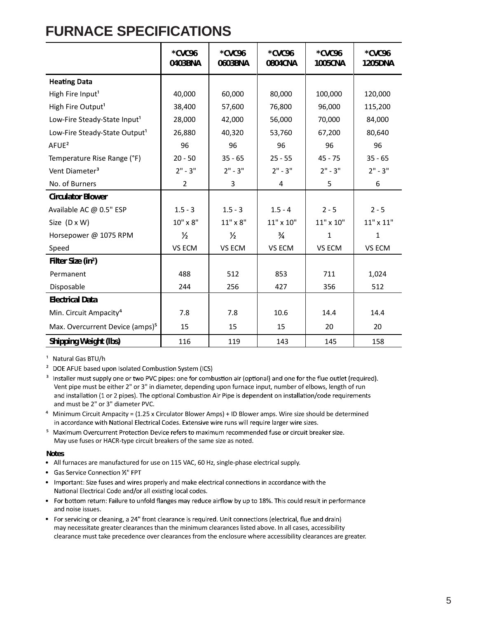# **FURNACE SPECIFICATIONS**

|                                             | *CVC96<br>0403BNA | *CVC96<br>0603BNA | *CVC96<br>0804CNA | *CVC96<br><b>1005CNA</b> | *CVC96<br><b>1205DNA</b> |
|---------------------------------------------|-------------------|-------------------|-------------------|--------------------------|--------------------------|
| <b>Heating Data</b>                         |                   |                   |                   |                          |                          |
| High Fire Input <sup>1</sup>                | 40,000            | 60,000            | 80,000            | 100,000                  | 120,000                  |
| High Fire Output <sup>1</sup>               | 38,400            | 57,600            | 76,800            | 96,000                   | 115,200                  |
| Low-Fire Steady-State Input <sup>1</sup>    | 28,000            | 42,000            | 56,000            | 70,000                   | 84,000                   |
| Low-Fire Steady-State Output <sup>1</sup>   | 26,880            | 40,320            | 53,760            | 67,200                   | 80,640                   |
| AFUE <sup>2</sup>                           | 96                | 96                | 96                | 96                       | 96                       |
| Temperature Rise Range (°F)                 | $20 - 50$         | $35 - 65$         | $25 - 55$         | $45 - 75$                | $35 - 65$                |
| Vent Diameter <sup>3</sup>                  | $2" - 3"$         | $2" - 3"$         | $2" - 3"$         | $2" - 3"$                | $2" - 3"$                |
| No. of Burners                              | $\overline{2}$    | 3                 | 4                 | 5                        | 6                        |
| <b>Circulator Blower</b>                    |                   |                   |                   |                          |                          |
| Available AC @ 0.5" ESP                     | $1.5 - 3$         | $1.5 - 3$         | $1.5 - 4$         | $2 - 5$                  | $2 - 5$                  |
| Size (D x W)                                | 10" x 8"          | $11" \times 8"$   | $11" \times 10"$  | $11" \times 10"$         | $11"$ x $11"$            |
| Horsepower @ 1075 RPM                       | $\frac{1}{2}$     | $\frac{1}{2}$     | $\frac{3}{4}$     | 1                        | $\mathbf{1}$             |
| Speed                                       | VS ECM            | VS ECM            | VS ECM            | VS ECM                   | VS ECM                   |
| Filter Size (in <sup>2</sup> )              |                   |                   |                   |                          |                          |
| Permanent                                   | 488               | 512               | 853               | 711                      | 1,024                    |
| Disposable                                  | 244               | 256               | 427               | 356                      | 512                      |
| <b>Electrical Data</b>                      |                   |                   |                   |                          |                          |
| Min. Circuit Ampacity <sup>4</sup>          | 7.8               | 7.8               | 10.6              | 14.4                     | 14.4                     |
| Max. Overcurrent Device (amps) <sup>5</sup> | 15                | 15                | 15                | 20                       | 20                       |
| <b>Shipping Weight (lbs)</b>                | 116               | 119               | 143               | 145                      | 158                      |

<sup>1</sup> Natural Gas BTU/h

<sup>2</sup> DOE AFUE based upon Isolated Combustion System (ICS)

- <sup>3</sup> Installer must supply one or two PVC pipes: one for combustion air (optional) and one for the flue outlet (required). Vent pipe must be either 2" or 3" in diameter, depending upon furnace input, number of elbows, length of run and installation (1 or 2 pipes). The optional Combustion Air Pipe is dependent on installation/code requirements and must be 2" or 3" diameter PVC.
- ⁴ Minimum Circuit Ampacity = (1.25 x Circulator Blower Amps) + ID Blower amps. Wire size should be determined in accordance with National Electrical Codes. Extensive wire runs will require larger wire sizes.
- <sup>5</sup> Maximum Overcurrent Protection Device refers to maximum recommended fuse or circuit breaker size. May use fuses or HACR-type circuit breakers of the same size as noted.

### **Notes**

- All furnaces are manufactured for use on 115 VAC, 60 Hz, single-phase electrical supply.
- Gas Service Connection 1/2" FPT
- Important: Size fuses and wires properly and make electrical connections in accordance with the National Electrical Code and/or all existing local codes.
- For bottom return: Failure to unfold flanges may reduce airflow by up to 18%. This could result in performance and noise issues.
- For servicing or cleaning, a 24" front clearance is required. Unit connections (electrical, flue and drain) may necessitate greater clearances than the minimum clearances listed above. In all cases, accessibility clearance must take precedence over clearances from the enclosure where accessibility clearances are greater.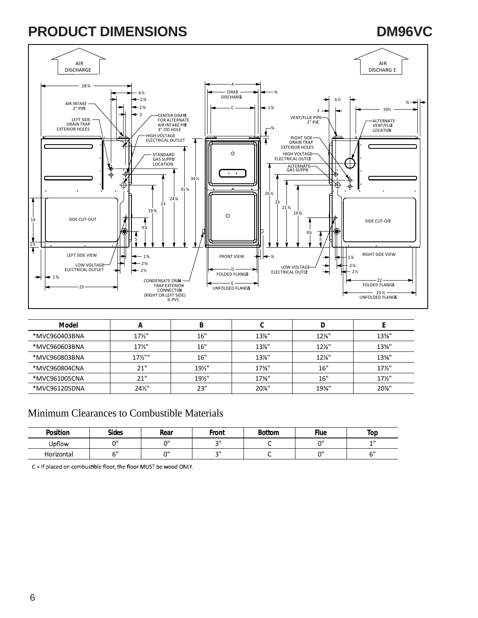# **PRODUCT DIMENSIONS DESCRIPTIONS DESCRIPTIONS DESCRIPTIONS**

#### AIR AIR DISCHARGE DISCHARG E A 28 ¾ DIMB 6½ ¾ DISCHARGE 2¾ 6½  $\frac{3}{4}$ AIR INTAKE  $-2\frac{5}{8}$ 1⅞ C 19½ 2  $-2$ CENTER DIMP**E**<br>FOR ALTERNATE<br>AIR INTAKE PI**IE**<br>3" OD HOLE VENT/FLUE PIPE<br>2" PVC ALTERNATE LEFT SIDE<br>DRAIN TRAP<br>EXTERIOR HOLES VENT/FLUE LOCATION  $\frac{3}{4}$ Ł HIGH VOLTAGE ELECTRICAL OUTLET RIGHT SIDE DRAIN TRAP EXTERIOR HOLES Ŧ 7 STANDARD  $\circ$ HIGH VOLTAGE<br>ELECTRICAL OUTLE GAS SUPPLY Ŧ ALTERNATE GAS SUPPLY  $\overline{\cdot}$  . ₹ ₩ ♦ 34 ½ ∉ <u>i</u> 31⅞  $\ddot{\phantom{0}}$  $\ddot{\phantom{0}}$  $\bullet$ 26 ½ 24⅞ 23 23 21⅛ 19⅝  $19<sup>5</sup>$ 14 SIDE CUT-OUT SIDE CUT-OUT 9¼ 9¼ 7 4 5 5 1½ ♦ LEFT SIDE VIEW / HH  $\left|\bullet\right|$  1%  $\left| \bullet\right|$  FRONT VIEW  $\left| \bullet\right|$   $\left| \bullet\right|$   $\left| \bullet\right|$   $\left| \bullet\right|$   $\left| \bullet\right|$   $\left| \bullet\right|$   $\left| \bullet\right|$   $\left| \bullet\right|$   $\left| \bullet\right|$   $\left| \bullet\right|$   $\left| \bullet\right|$   $\left| \bullet\right|$   $\left| \bullet\right|$   $\left| \bullet\right|$   $\left| \bullet\right|$   $\$  $-1$  %  $\rightarrow$ 1⅞  $-2\frac{3}{8}$ LOW VOLTAGE<br>ELECTRICAL OUTLET  $\overline{\phantom{a}}$ LOW VOLTAGE 2⅜  $\leftarrow$  2½ D<br>FOLDED FLANGE ELECTRICAL OUTLE 2½ ÷  $+1\%$ CONDENSATE DRAI-22 E —<br>UNFOLDED FLANGE FOLDED FLANGE TRAP EXTERIOR<br>CONNECTION<br>(RIGHT OR LEFT SIDE)<br>¼ PVC 23 23 ½ UNFOLDED FLANGES

| Model         | n                 | В    |          |          |                 |
|---------------|-------------------|------|----------|----------|-----------------|
| *MVC960403BNA | $17\frac{1}{2}$   | 16"  | $13\%$ " | $12\%$ " | $13\%$ "        |
| *MVC960603BNA | $17\frac{1}{2}$   | 16"  | $13\%$ " | $12\%$ " | $13\%$ "        |
| *MVC960803BNA | $17\frac{1}{2}$   | 16"  | $13\%$ " | $12\%$ " | $13\%$ "        |
| *MVC960804CNA | 21"               | 19½" | $17\%$ " | 16"      | $17\frac{1}{2}$ |
| *MVC961005CNA | 21"               | 19½" | $17\%$ " | 16"      | $17\frac{1}{2}$ |
| *MVC961205DNA | $24\frac{1}{2}$ " | 23"  | $20\%$ " | 19%"     | 20%"            |

### Minimum Clearances to Combustible Materials

| Position   | <b>Sides</b> | Rear   | Front  | <b>Bottom</b> | <b>Flue</b> | Top       |
|------------|--------------|--------|--------|---------------|-------------|-----------|
| Upflow     | $\sim$       | $\sim$ | $\sim$ |               | יי          | 4H        |
| Horizontal | $\sim$       | $\sim$ | $\sim$ |               | יי          | $\sim$ 11 |

C = If placed on combustible floor, the floor MUST be wood ONLY.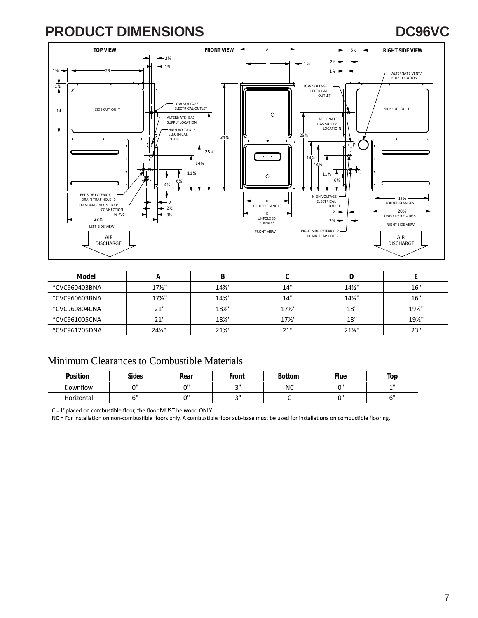# **PRODUCT DIMENSIONS DC96VC**



| Model         |                 |          |                 |                 |      |
|---------------|-----------------|----------|-----------------|-----------------|------|
| *CVC960403BNA | 17½"            | 14%"     | 14"             | $14\frac{1}{2}$ | 16"  |
| *CVC960603BNA | $17\frac{1}{2}$ | 14%"     | 14"             | $14\frac{1}{2}$ | 16"  |
| *CVC960804CNA | 21"             | $18\%$ " | $17\frac{1}{2}$ | 18"             | 19½" |
| *CVC961005CNA | 21"             | $18\%$ " | $17\frac{1}{2}$ | 18"             | 19½" |
| *CVC961205DNA | $24\frac{1}{2}$ | $21\%$ " | 21"             | $21\frac{1}{2}$ | 23"  |

### Minimum Clearances to Combustible Materials

| <b>Position</b> | <b>Sides</b> | Rear   | Front     | <b>Bottom</b> | <b>Flue</b> | Top       |
|-----------------|--------------|--------|-----------|---------------|-------------|-----------|
| Downflow        | $\sim$       | $\sim$ | $\bigcap$ | ΝC            | $\sim$      | 4H        |
| Horizontal      |              | $\sim$ | $\bigcap$ |               | $\sim$      | $\sim$ II |

C = If placed on combustible floor, the floor MUST be wood ONLY.

NC = For installation on non-combustible floors only. A combustible floor sub-base must be used for installations on combustible flooring.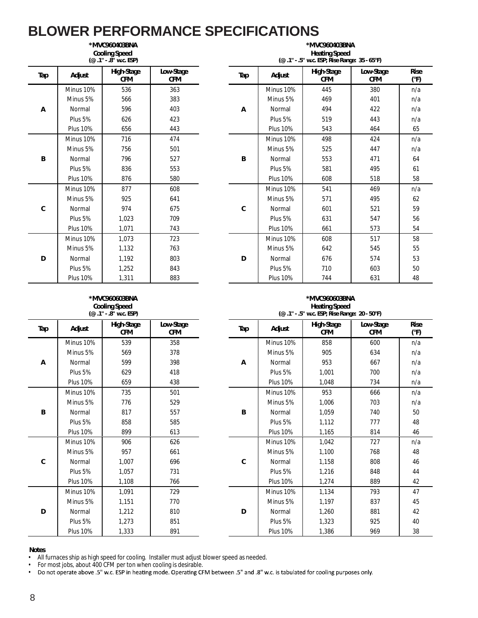### **BLOWER PERFORMANCE SPECIFICATIONS \*MVC960403BNA**

| <b>Cooling Speed</b><br>(@ .1" - .8" w.c. ESP) |                 |                          |                         |  |  |  |  |
|------------------------------------------------|-----------------|--------------------------|-------------------------|--|--|--|--|
| Tap                                            | Adjust          | High-Stage<br><b>CFM</b> | Low-Stage<br><b>CFM</b> |  |  |  |  |
|                                                | Minus 10%       | 536                      | 363                     |  |  |  |  |
|                                                | Minus 5%        | 566                      | 383                     |  |  |  |  |
| A                                              | Normal          | 596                      | 403                     |  |  |  |  |
|                                                | Plus 5%         | 626                      | 423                     |  |  |  |  |
|                                                | <b>Plus 10%</b> | 656                      | 443                     |  |  |  |  |
|                                                | Minus 10%       | 716                      | 474                     |  |  |  |  |
|                                                | Minus 5%        | 756                      | 501                     |  |  |  |  |
| B                                              | Normal          | 796                      | 527                     |  |  |  |  |
|                                                | Plus 5%         | 836                      | 553                     |  |  |  |  |
|                                                | <b>Plus 10%</b> | 876                      | 580                     |  |  |  |  |
|                                                | Minus 10%       | 877                      | 608                     |  |  |  |  |
|                                                | Minus 5%        | 925                      | 641                     |  |  |  |  |
| C                                              | Normal          | 974                      | 675                     |  |  |  |  |
|                                                | Plus 5%         | 1,023                    | 709                     |  |  |  |  |
|                                                | <b>Plus 10%</b> | 1,071                    | 743                     |  |  |  |  |
|                                                | Minus 10%       | 1,073                    | 723                     |  |  |  |  |
|                                                | Minus 5%        | 1,132                    | 763                     |  |  |  |  |
| D                                              | Normal          | 1,192                    | 803                     |  |  |  |  |
|                                                | Plus 5%         | 1,252                    | 843                     |  |  |  |  |
|                                                | <b>Plus 10%</b> | 1,311                    | 883                     |  |  |  |  |

#### **Heating Speed (@ .1" - .5" w.c. ESP; Rise Range: 35 - 65°F) CFM Tap Adjust High-Stage CFM Low-Stage CFM Rise (°F) A** Minus 10% 445 380 n/a Minus 5% 566 383 Minus 5% 469 401 n/a Normal | 596 | 403 A | Normal | 494 | 422 | n/a Plus 5% 626 423 Plus 5% 519 443 n/a Plus 10% | 656 | 443 | Plus 10% | 543 | 464 | 65 **B** Minus 10% | 498 | 424 | n/a Minus 5% | 756 | 501 | Minus 5% | 525 | 447 | n/a Normal | 796 | 527 B | Normal | 553 | 471 | 64 Plus 5% 836 553 Plus 5% 581 495 61 Plus 10% 876 580 Plus 10% 608 518 58 **C** Minus 10% | 541 | 469 | n/a Minus 5% | 925 | 641 | Minus 5% | 571 | 495 | 62 Normal 974 675 Normal 601 521 59 Plus 5% | 1,023 | 709 | Plus 5% | 631 | 547 | 56 Plus 10% 1,071 743 Plus 10% 661 573 54 **D** Minus 10% | 608 | 517 | 58 Minus 5% | 1,132 | 763 | Minus 5% | 642 | 545 | 55 Normal | 1,192 | 803 D | Normal | 676 | 574 | 53 Plus 5% 1,252 843 Plus 5% 710 603 50 Plus 10% 1,311 883 Plus 10% 744 631 48

**\*MVC960403BNA**

#### **\*MVC960603BNA Cooling Speed (@ .1" - .8" w.c. ESP)**

|     | ן ויט. איש ישה", בשן |                          |                         |  |  |  |  |  |  |
|-----|----------------------|--------------------------|-------------------------|--|--|--|--|--|--|
| Tap | Adjust               | High-Stage<br><b>CFM</b> | Low-Stage<br><b>CFM</b> |  |  |  |  |  |  |
|     | Minus 10%            | 539                      | 358                     |  |  |  |  |  |  |
| А   | Minus 5%             | 569                      | 378                     |  |  |  |  |  |  |
|     | Normal               | 599                      | 398                     |  |  |  |  |  |  |
|     | Plus 5%              | 629                      | 418                     |  |  |  |  |  |  |
|     | <b>Plus 10%</b>      | 659                      | 438                     |  |  |  |  |  |  |
|     | Minus 10%            | 735                      | 501                     |  |  |  |  |  |  |
|     | Minus 5%             | 776                      | 529                     |  |  |  |  |  |  |
| B   | Normal               | 817                      | 557                     |  |  |  |  |  |  |
|     | Plus 5%              | 858                      | 585                     |  |  |  |  |  |  |
|     | <b>Plus 10%</b>      | 899                      | 613                     |  |  |  |  |  |  |
|     | Minus 10%            | 906                      | 626                     |  |  |  |  |  |  |
|     | Minus 5%             | 957                      | 661                     |  |  |  |  |  |  |
| C   | Normal               | 1,007                    | 696                     |  |  |  |  |  |  |
|     | Plus 5%              | 1,057                    | 731                     |  |  |  |  |  |  |
|     | <b>Plus 10%</b>      | 1,108                    | 766                     |  |  |  |  |  |  |
|     | Minus 10%            | 1,091                    | 729                     |  |  |  |  |  |  |
|     | Minus 5%             | 1,151                    | 770                     |  |  |  |  |  |  |
| D   | Normal               | 1,212                    | 810                     |  |  |  |  |  |  |
|     | Plus 5%              | 1,273                    | 851                     |  |  |  |  |  |  |
|     | <b>Plus 10%</b>      | 1,333                    | 891                     |  |  |  |  |  |  |

### **\*MVC960603BNA Heating Speed**<br>E<sup>i</sup> We ESD: Bise Bang

|                 | (@ .1" - .8" w.c. ESP)   |                  | (@ .1" - .5" w.c. ESP; Rise Range: 20 - 50°F) |                 |                          |                         |              |  |  |
|-----------------|--------------------------|------------------|-----------------------------------------------|-----------------|--------------------------|-------------------------|--------------|--|--|
| Adjust          | High-Stage<br><b>CFM</b> | Low-Stage<br>CFM | Tap                                           | Adjust          | High-Stage<br><b>CFM</b> | Low-Stage<br><b>CFM</b> | Rise<br>(°F) |  |  |
| Minus 10%       | 539                      | 358              |                                               | Minus 10%       | 858                      | 600                     | n/a          |  |  |
| Minus 5%        | 569                      | 378              |                                               | Minus 5%        | 905                      | 634                     | n/a          |  |  |
| Normal          | 599                      | 398              | Α                                             | Normal          | 953                      | 667                     | n/a          |  |  |
| Plus 5%         | 629                      | 418              |                                               | Plus 5%         | 1,001                    | 700                     | n/a          |  |  |
| <b>Plus 10%</b> | 659                      | 438              |                                               | <b>Plus 10%</b> | 1,048                    | 734                     | n/a          |  |  |
| Minus 10%       | 735                      | 501              |                                               | Minus 10%       | 953                      | 666                     | n/a          |  |  |
| Minus 5%        | 776                      | 529              |                                               | Minus 5%        | 1,006                    | 703                     | n/a          |  |  |
| Normal          | 817                      | 557              | B                                             | Normal          | 1,059                    | 740                     | 50           |  |  |
| Plus 5%         | 858                      | 585              |                                               | Plus 5%         | 1,112                    | 777                     | 48           |  |  |
| <b>Plus 10%</b> | 899                      | 613              |                                               | <b>Plus 10%</b> | 1,165                    | 814                     | 46           |  |  |
| Minus 10%       | 906                      | 626              |                                               | Minus 10%       | 1,042                    | 727                     | n/a          |  |  |
| Minus 5%        | 957                      | 661              |                                               | Minus 5%        | 1,100                    | 768                     | 48           |  |  |
| Normal          | 1,007                    | 696              | C                                             | Normal          | 1,158                    | 808                     | 46           |  |  |
| Plus 5%         | 1,057                    | 731              |                                               | Plus 5%         | 1,216                    | 848                     | 44           |  |  |
| <b>Plus 10%</b> | 1,108                    | 766              |                                               | <b>Plus 10%</b> | 1,274                    | 889                     | 42           |  |  |
| Minus 10%       | 1,091                    | 729              |                                               | Minus 10%       | 1,134                    | 793                     | 47           |  |  |
| Minus 5%        | 1,151                    | 770              |                                               | Minus 5%        | 1,197                    | 837                     | 45           |  |  |
| Normal          | 1,212                    | 810              | D                                             | Normal          | 1,260                    | 881                     | 42           |  |  |
| Plus 5%         | 1,273                    | 851              |                                               | Plus 5%         | 1,323                    | 925                     | 40           |  |  |
| <b>Plus 10%</b> | 1,333                    | 891              |                                               | <b>Plus 10%</b> | 1,386                    | 969                     | 38           |  |  |

### **Notes**

• All furnaces ship as high speed for cooling. Installer must adjust blower speed as needed.<br>• For most iobs, about 400 CFM per ton when cooling is desirable.

For most jobs, about 400 CFM per ton when cooling is desirable.<br>Do not operate above .5" w.c. ESP in heating mode. Operating CFM between .5" and .8" w.c. is tabulated for cooling purposes only. •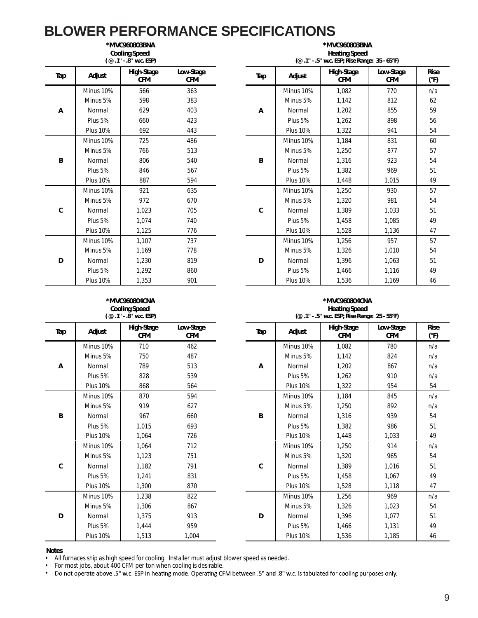| *MVC960803BNA<br><b>Cooling Speed</b><br>(@.1" - .8" w.c. ESP) |                 |                          |                         |  |  |  |  |
|----------------------------------------------------------------|-----------------|--------------------------|-------------------------|--|--|--|--|
| Tap                                                            | Adjust          | High-Stage<br><b>CFM</b> | Low-Stage<br><b>CFM</b> |  |  |  |  |
|                                                                | Minus 10%       | 566                      | 363                     |  |  |  |  |
|                                                                | Minus 5%        | 598                      | 383                     |  |  |  |  |
| А                                                              | Normal          | 629                      | 403                     |  |  |  |  |
|                                                                | Plus 5%         | 660                      | 423                     |  |  |  |  |
|                                                                | <b>Plus 10%</b> | 692                      | 443                     |  |  |  |  |
|                                                                | Minus 10%       | 725                      | 486                     |  |  |  |  |
|                                                                | Minus 5%        | 766                      | 513                     |  |  |  |  |
| B                                                              | Normal          | 806                      | 540                     |  |  |  |  |
|                                                                | Plus 5%         | 846                      | 567                     |  |  |  |  |
|                                                                | <b>Plus 10%</b> | 887                      | 594                     |  |  |  |  |
|                                                                | Minus 10%       | 921                      | 635                     |  |  |  |  |
|                                                                | Minus 5%        | 972                      | 670                     |  |  |  |  |
| C                                                              | Normal          | 1,023                    | 705                     |  |  |  |  |
|                                                                | Plus 5%         | 1.074                    | 740                     |  |  |  |  |
|                                                                | <b>Plus 10%</b> | 1,125                    | 776                     |  |  |  |  |
|                                                                | Minus 10%       | 1,107                    | 737                     |  |  |  |  |
|                                                                | Minus 5%        | 1,169                    | 778                     |  |  |  |  |
| D                                                              | Normal          | 1,230                    | 819                     |  |  |  |  |
|                                                                | Plus 5%         | 1,292                    | 860                     |  |  |  |  |
|                                                                | <b>Plus 10%</b> | 1,353                    | 901                     |  |  |  |  |

|                 | *MVC960803BNA<br><b>Cooling Speed</b><br>(@.1" - .8" w.c. ESP) |                         |  | *MVC960803BNA<br><b>Heating Speed</b><br>(@ .1" - .5" w.c. ESP; Rise Range: 35 - 65°F) |                 |                          |                         |                     |  |  |  |
|-----------------|----------------------------------------------------------------|-------------------------|--|----------------------------------------------------------------------------------------|-----------------|--------------------------|-------------------------|---------------------|--|--|--|
| Adjust          | High-Stage<br><b>CFM</b>                                       | Low-Stage<br><b>CFM</b> |  | Tap                                                                                    | Adjust          | High-Stage<br><b>CFM</b> | Low-Stage<br><b>CFM</b> | <b>Rise</b><br>(°F) |  |  |  |
| Minus 10%       | 566                                                            | 363                     |  |                                                                                        | Minus 10%       | 1,082                    | 770                     | n/a                 |  |  |  |
| Minus 5%        | 598                                                            | 383                     |  |                                                                                        | Minus 5%        | 1,142                    | 812                     | 62                  |  |  |  |
| Normal          | 629                                                            | 403                     |  | Α                                                                                      | Normal          | 1,202                    | 855                     | 59                  |  |  |  |
| Plus 5%         | 660                                                            | 423                     |  |                                                                                        | Plus 5%         | 1,262                    | 898                     | 56                  |  |  |  |
| <b>Plus 10%</b> | 692                                                            | 443                     |  |                                                                                        | <b>Plus 10%</b> | 1,322                    | 941                     | 54                  |  |  |  |
| Minus 10%       | 725                                                            | 486                     |  |                                                                                        | Minus 10%       | 1,184                    | 831                     | 60                  |  |  |  |
| Minus 5%        | 766                                                            | 513                     |  |                                                                                        | Minus 5%        | 1,250                    | 877                     | 57                  |  |  |  |
| Normal          | 806                                                            | 540                     |  | B                                                                                      | Normal          | 1,316                    | 923                     | 54                  |  |  |  |
| Plus 5%         | 846                                                            | 567                     |  |                                                                                        | Plus 5%         | 1,382                    | 969                     | 51                  |  |  |  |
| <b>Plus 10%</b> | 887                                                            | 594                     |  |                                                                                        | <b>Plus 10%</b> | 1,448                    | 1,015                   | 49                  |  |  |  |
| Minus 10%       | 921                                                            | 635                     |  |                                                                                        | Minus 10%       | 1,250                    | 930                     | 57                  |  |  |  |
| Minus 5%        | 972                                                            | 670                     |  |                                                                                        | Minus 5%        | 1,320                    | 981                     | 54                  |  |  |  |
| Normal          | 1,023                                                          | 705                     |  | C                                                                                      | Normal          | 1,389                    | 1,033                   | 51                  |  |  |  |
| Plus 5%         | 1.074                                                          | 740                     |  |                                                                                        | Plus 5%         | 1,458                    | 1,085                   | 49                  |  |  |  |
| <b>Plus 10%</b> | 1.125                                                          | 776                     |  |                                                                                        | <b>Plus 10%</b> | 1,528                    | 1,136                   | 47                  |  |  |  |
| Minus 10%       | 1,107                                                          | 737                     |  |                                                                                        | Minus 10%       | 1,256                    | 957                     | 57                  |  |  |  |
| Minus 5%        | 1,169                                                          | 778                     |  |                                                                                        | Minus 5%        | 1,326                    | 1,010                   | 54                  |  |  |  |
| Normal          | 1,230                                                          | 819                     |  | D                                                                                      | Normal          | 1,396                    | 1,063                   | 51                  |  |  |  |
| Plus 5%         | 1,292                                                          | 860                     |  |                                                                                        | Plus 5%         | 1,466                    | 1,116                   | 49                  |  |  |  |
| <b>Plus 10%</b> | 1,353                                                          | 901                     |  |                                                                                        | <b>Plus 10%</b> | 1,536                    | 1,169                   | 46                  |  |  |  |

### **\*MVC960804CNA Cooling Speed**

| (@.1" - .8" w.c. ESP)<br>High-Stage<br>Low-Stage<br>Tap<br>Adjust<br><b>CFM</b><br><b>CFM</b><br>Minus 10%<br>710<br>462<br>Minus 5%<br>750<br>487<br>Normal<br>789<br>513<br>А<br>Plus 5%<br>828<br>539<br><b>Plus 10%</b><br>868<br>564<br>Minus 10%<br>594<br>870<br>Minus 5%<br>919<br>627<br>Normal<br>B<br>967<br>660<br>Plus 5%<br>1,015<br>693<br><b>Plus 10%</b><br>1,064<br>726<br>Minus 10%<br>1,064<br>712<br>Minus 5%<br>1,123<br>751<br>C<br>Normal<br>791<br>1,182<br>Plus 5%<br>831<br>1,241<br><b>Plus 10%</b><br>1,300<br>870<br>Minus 10%<br>1,238<br>822<br>Minus 5%<br>1,306<br>867<br>D<br>Normal<br>913<br>1,375 |                 |       |       |  |
|-----------------------------------------------------------------------------------------------------------------------------------------------------------------------------------------------------------------------------------------------------------------------------------------------------------------------------------------------------------------------------------------------------------------------------------------------------------------------------------------------------------------------------------------------------------------------------------------------------------------------------------------|-----------------|-------|-------|--|
|                                                                                                                                                                                                                                                                                                                                                                                                                                                                                                                                                                                                                                         |                 |       |       |  |
|                                                                                                                                                                                                                                                                                                                                                                                                                                                                                                                                                                                                                                         |                 |       |       |  |
|                                                                                                                                                                                                                                                                                                                                                                                                                                                                                                                                                                                                                                         |                 |       |       |  |
|                                                                                                                                                                                                                                                                                                                                                                                                                                                                                                                                                                                                                                         |                 |       |       |  |
|                                                                                                                                                                                                                                                                                                                                                                                                                                                                                                                                                                                                                                         |                 |       |       |  |
|                                                                                                                                                                                                                                                                                                                                                                                                                                                                                                                                                                                                                                         |                 |       |       |  |
|                                                                                                                                                                                                                                                                                                                                                                                                                                                                                                                                                                                                                                         |                 |       |       |  |
|                                                                                                                                                                                                                                                                                                                                                                                                                                                                                                                                                                                                                                         |                 |       |       |  |
|                                                                                                                                                                                                                                                                                                                                                                                                                                                                                                                                                                                                                                         |                 |       |       |  |
|                                                                                                                                                                                                                                                                                                                                                                                                                                                                                                                                                                                                                                         |                 |       |       |  |
|                                                                                                                                                                                                                                                                                                                                                                                                                                                                                                                                                                                                                                         |                 |       |       |  |
|                                                                                                                                                                                                                                                                                                                                                                                                                                                                                                                                                                                                                                         |                 |       |       |  |
|                                                                                                                                                                                                                                                                                                                                                                                                                                                                                                                                                                                                                                         |                 |       |       |  |
|                                                                                                                                                                                                                                                                                                                                                                                                                                                                                                                                                                                                                                         |                 |       |       |  |
|                                                                                                                                                                                                                                                                                                                                                                                                                                                                                                                                                                                                                                         |                 |       |       |  |
|                                                                                                                                                                                                                                                                                                                                                                                                                                                                                                                                                                                                                                         |                 |       |       |  |
|                                                                                                                                                                                                                                                                                                                                                                                                                                                                                                                                                                                                                                         |                 |       |       |  |
|                                                                                                                                                                                                                                                                                                                                                                                                                                                                                                                                                                                                                                         |                 |       |       |  |
|                                                                                                                                                                                                                                                                                                                                                                                                                                                                                                                                                                                                                                         |                 |       |       |  |
|                                                                                                                                                                                                                                                                                                                                                                                                                                                                                                                                                                                                                                         | Plus 5%         | 1.444 | 959   |  |
|                                                                                                                                                                                                                                                                                                                                                                                                                                                                                                                                                                                                                                         | <b>Plus 10%</b> | 1,513 | 1,004 |  |

### **\*MVC960804CNA Heating Speed**

|                 | $(\omega$ .1" - .8" w.c. ESP) |                         |     |                 | (@ .1" - .5" w.c. ESP; Rise Range: 25 - 55°F) |                         |                              |
|-----------------|-------------------------------|-------------------------|-----|-----------------|-----------------------------------------------|-------------------------|------------------------------|
| Adjust          | High-Stage<br><b>CFM</b>      | Low-Stage<br><b>CFM</b> | Tap | Adjust          | High-Stage<br><b>CFM</b>                      | Low-Stage<br><b>CFM</b> | <b>Rise</b><br>$(^{\circ}F)$ |
| Minus 10%       | 710                           | 462                     |     | Minus 10%       | 1,082                                         | 780                     | n/a                          |
| Minus 5%        | 750                           | 487                     |     | Minus 5%        | 1,142                                         | 824                     | n/a                          |
| Normal          | 789                           | 513                     | Α   | Normal          | 1,202                                         | 867                     | n/a                          |
| Plus 5%         | 828                           | 539                     |     | Plus 5%         | 1,262                                         | 910                     | n/a                          |
| <b>Plus 10%</b> | 868                           | 564                     |     | <b>Plus 10%</b> | 1,322                                         | 954                     | 54                           |
| Minus 10%       | 870                           | 594                     |     | Minus 10%       | 1,184                                         | 845                     | n/a                          |
| Minus 5%        | 919                           | 627                     |     | Minus 5%        | 1,250                                         | 892                     | n/a                          |
| Normal          | 967                           | 660                     | B   | Normal          | 1,316                                         | 939                     | 54                           |
| Plus 5%         | 1,015                         | 693                     |     | Plus 5%         | 1,382                                         | 986                     | 51                           |
| <b>Plus 10%</b> | 1.064                         | 726                     |     | <b>Plus 10%</b> | 1,448                                         | 1,033                   | 49                           |
| Minus 10%       | 1,064                         | 712                     |     | Minus 10%       | 1,250                                         | 914                     | n/a                          |
| Minus 5%        | 1,123                         | 751                     |     | Minus 5%        | 1,320                                         | 965                     | 54                           |
| Normal          | 1,182                         | 791                     | C   | Normal          | 1,389                                         | 1,016                   | 51                           |
| Plus 5%         | 1,241                         | 831                     |     | Plus 5%         | 1,458                                         | 1,067                   | 49                           |
| <b>Plus 10%</b> | 1,300                         | 870                     |     | <b>Plus 10%</b> | 1,528                                         | 1,118                   | 47                           |
| Minus 10%       | 1,238                         | 822                     |     | Minus 10%       | 1,256                                         | 969                     | n/a                          |
| Minus 5%        | 1,306                         | 867                     |     | Minus 5%        | 1,326                                         | 1,023                   | 54                           |
| Normal          | 1,375                         | 913                     | D   | Normal          | 1,396                                         | 1,077                   | 51                           |
| Plus 5%         | 1,444                         | 959                     |     | Plus 5%         | 1,466                                         | 1,131                   | 49                           |
| <b>Plus 10%</b> | 1,513                         | 1,004                   |     | <b>Plus 10%</b> | 1,536                                         | 1,185                   | 46                           |

#### **Notes**

• All furnaces ship as high speed for cooling. Installer must adjust blower speed as needed.

• For most jobs, about 400 CFM per ton when cooling is desirable.

• Do not operate above .5" w.c. ESP in heating mode. Operating CFM between .5" and .8" w.c. is tabulated for cooling purposes only.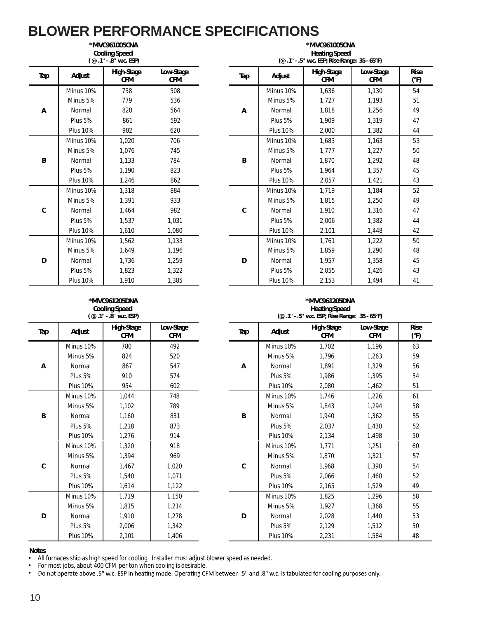|     |                 | *MVC961005CNA<br><b>Cooling Speed</b><br>(@.1" - .8" w.c. ESP) |                         |
|-----|-----------------|----------------------------------------------------------------|-------------------------|
| Tap | Adjust          | High-Stage<br><b>CFM</b>                                       | Low-Stage<br><b>CFM</b> |
|     | Minus 10%       | 738                                                            | 508                     |
|     | Minus 5%        | 779                                                            | 536                     |
| Α   | Normal          | 820                                                            | 564                     |
|     | Plus 5%         | 861                                                            | 592                     |
|     | <b>Plus 10%</b> | 902                                                            | 620                     |
|     | Minus 10%       | 1,020                                                          | 706                     |
|     | Minus 5%        | 1,076                                                          | 745                     |
| B   | Normal          | 1,133                                                          | 784                     |
|     | Plus 5%         | 1,190                                                          | 823                     |
|     | <b>Plus 10%</b> | 1,246                                                          | 862                     |
|     | Minus 10%       | 1.318                                                          | 884                     |
|     | Minus 5%        | 1,391                                                          | 933                     |
| C   | Normal          | 1,464                                                          | 982                     |
|     | Plus 5%         | 1,537                                                          | 1,031                   |
|     | <b>Plus 10%</b> | 1,610                                                          | 1,080                   |
|     | Minus 10%       | 1,562                                                          | 1,133                   |
|     | Minus 5%        | 1,649                                                          | 1,196                   |
| D   | Normal          | 1,736                                                          | 1,259                   |
|     | Plus 5%         | 1,823                                                          | 1,322                   |
|     | <b>Plus 10%</b> | 1,910                                                          | 1,385                   |

|                 | <b>Cooling Speed</b><br>(@.1" - .8" w.c. ESP) |                         |     |                 | <b>Heating Speed</b><br>(@ .1" - .5" w.c. ESP; Rise Range: 35 - 65°F) |                         |                     |  |
|-----------------|-----------------------------------------------|-------------------------|-----|-----------------|-----------------------------------------------------------------------|-------------------------|---------------------|--|
| Adjust          | High-Stage<br><b>CFM</b>                      | Low-Stage<br><b>CFM</b> | Tap | Adjust          | High-Stage<br><b>CFM</b>                                              | Low-Stage<br><b>CFM</b> | <b>Rise</b><br>(°F) |  |
| Minus 10%       | 738                                           | 508                     |     | Minus 10%       | 1,636                                                                 | 1,130                   | 54                  |  |
| Minus 5%        | 779                                           | 536                     |     | Minus 5%        | 1,727                                                                 | 1,193                   | 51                  |  |
| Normal          | 820                                           | 564                     | Α   | Normal          | 1,818                                                                 | 1,256                   | 49                  |  |
| Plus 5%         | 861                                           | 592                     |     | Plus 5%         | 1,909                                                                 | 1,319                   | 47                  |  |
| <b>Plus 10%</b> | 902                                           | 620                     |     | <b>Plus 10%</b> | 2,000                                                                 | 1,382                   | 44                  |  |
| Minus 10%       | 1,020                                         | 706                     |     | Minus 10%       | 1,683                                                                 | 1,163                   | 53                  |  |
| Minus 5%        | 1,076                                         | 745                     |     | Minus 5%        | 1,777                                                                 | 1,227                   | 50                  |  |
| Normal          | 1,133                                         | 784                     | B   | Normal          | 1,870                                                                 | 1,292                   | 48                  |  |
| Plus 5%         | 1,190                                         | 823                     |     | Plus 5%         | 1,964                                                                 | 1,357                   | 45                  |  |
| <b>Plus 10%</b> | 1,246                                         | 862                     |     | <b>Plus 10%</b> | 2,057                                                                 | 1,421                   | 43                  |  |
| Minus 10%       | 1,318                                         | 884                     |     | Minus 10%       | 1,719                                                                 | 1,184                   | 52                  |  |
| Minus 5%        | 1.391                                         | 933                     |     | Minus 5%        | 1,815                                                                 | 1,250                   | 49                  |  |
| Normal          | 1,464                                         | 982                     | C   | Normal          | 1,910                                                                 | 1,316                   | 47                  |  |
| Plus 5%         | 1,537                                         | 1,031                   |     | Plus 5%         | 2,006                                                                 | 1,382                   | 44                  |  |
| <b>Plus 10%</b> | 1.610                                         | 1.080                   |     | <b>Plus 10%</b> | 2,101                                                                 | 1,448                   | 42                  |  |
| Minus 10%       | 1,562                                         | 1,133                   |     | Minus 10%       | 1,761                                                                 | 1,222                   | 50                  |  |
| Minus 5%        | 1,649                                         | 1,196                   |     | Minus 5%        | 1,859                                                                 | 1,290                   | 48                  |  |
| Normal          | 1,736                                         | 1,259                   | D   | Normal          | 1,957                                                                 | 1,358                   | 45                  |  |
| Plus 5%         | 1,823                                         | 1,322                   |     | Plus 5%         | 2,055                                                                 | 1,426                   | 43                  |  |
| <b>Plus 10%</b> | 1,910                                         | 1,385                   |     | <b>Plus 10%</b> | 2,153                                                                 | 1,494                   | 41                  |  |

**\*MVC961005CNA**

### **\*MVC961205DNA Cooling Speed**

|     |                 | (@.1" - .8" w.c. ESP)    |                         |  |
|-----|-----------------|--------------------------|-------------------------|--|
| Tap | Adjust          | High-Stage<br><b>CFM</b> | Low-Stage<br><b>CFM</b> |  |
|     | Minus 10%       | 780                      | 492                     |  |
|     | Minus 5%        | 824                      | 520                     |  |
| А   | Normal          | 867                      | 547                     |  |
|     | Plus 5%         | 910                      | 574                     |  |
|     | <b>Plus 10%</b> | 954                      | 602                     |  |
|     | Minus 10%       | 1,044                    | 748                     |  |
|     | Minus 5%        | 1,102                    | 789                     |  |
| В   | Normal          | 1,160                    | 831                     |  |
|     | Plus 5%         | 1,218                    | 873                     |  |
|     | <b>Plus 10%</b> | 1,276                    | 914                     |  |
|     | Minus 10%       | 1,320                    | 918                     |  |
|     | Minus 5%        | 1,394                    | 969                     |  |
| C   | Normal          | 1,467                    | 1,020                   |  |
|     | Plus 5%         | 1,540                    | 1,071                   |  |
|     | <b>Plus 10%</b> | 1,614                    | 1,122                   |  |
|     | Minus 10%       | 1,719                    | 1,150                   |  |
|     | Minus 5%        | 1,815                    | 1,214                   |  |
| D   | Normal          | 1,910                    | 1,278                   |  |
|     | Plus 5%         | 2,006                    | 1,342                   |  |
|     | <b>Plus 10%</b> | 2,101                    | 1,406                   |  |

### **\*MVC961205DNA Heating Speed**

|                 | $(\omega$ .1" - .8" w.c. ESP) |                  |     |                 | (@ .1" - .5" w.c. ESP; Rise Range: 35 - 65°F) |                         |                     |
|-----------------|-------------------------------|------------------|-----|-----------------|-----------------------------------------------|-------------------------|---------------------|
| Adjust          | High-Stage<br><b>CFM</b>      | Low-Stage<br>CFM | Tap | Adjust          | High-Stage<br><b>CFM</b>                      | Low-Stage<br><b>CFM</b> | <b>Rise</b><br>(°F) |
| Minus 10%       | 780                           | 492              |     | Minus 10%       | 1,702                                         | 1.196                   | 63                  |
| Minus 5%        | 824                           | 520              |     | Minus 5%        | 1,796                                         | 1,263                   | 59                  |
| Normal          | 867                           | 547              | Α   | Normal          | 1,891                                         | 1,329                   | 56                  |
| Plus 5%         | 910                           | 574              |     | Plus 5%         | 1,986                                         | 1,395                   | 54                  |
| <b>Plus 10%</b> | 954                           | 602              |     | <b>Plus 10%</b> | 2,080                                         | 1,462                   | 51                  |
| Minus 10%       | 1,044                         | 748              |     | Minus 10%       | 1,746                                         | 1,226                   | 61                  |
| Minus 5%        | 1,102                         | 789              |     | Minus 5%        | 1,843                                         | 1,294                   | 58                  |
| Normal          | 1,160                         | 831              | B   | Normal          | 1,940                                         | 1,362                   | 55                  |
| Plus 5%         | 1,218                         | 873              |     | Plus 5%         | 2,037                                         | 1,430                   | 52                  |
| <b>Plus 10%</b> | 1,276                         | 914              |     | <b>Plus 10%</b> | 2,134                                         | 1,498                   | 50                  |
| Minus 10%       | 1,320                         | 918              |     | Minus 10%       | 1,771                                         | 1,251                   | 60                  |
| Minus 5%        | 1,394                         | 969              |     | Minus 5%        | 1,870                                         | 1,321                   | 57                  |
| Normal          | 1,467                         | 1,020            | C   | Normal          | 1,968                                         | 1,390                   | 54                  |
| Plus 5%         | 1,540                         | 1,071            |     | Plus 5%         | 2,066                                         | 1,460                   | 52                  |
| <b>Plus 10%</b> | 1,614                         | 1,122            |     | <b>Plus 10%</b> | 2,165                                         | 1,529                   | 49                  |
| Minus 10%       | 1,719                         | 1,150            |     | Minus 10%       | 1,825                                         | 1,296                   | 58                  |
| Minus 5%        | 1,815                         | 1,214            |     | Minus 5%        | 1,927                                         | 1,368                   | 55                  |
| Normal          | 1,910                         | 1,278            | D   | Normal          | 2,028                                         | 1,440                   | 53                  |
| Plus 5%         | 2,006                         | 1,342            |     | Plus 5%         | 2,129                                         | 1,512                   | 50                  |
| <b>Plus 10%</b> | 2,101                         | 1,406            |     | <b>Plus 10%</b> | 2,231                                         | 1,584                   | 48                  |

### **Notes**

• All furnaces ship as high speed for cooling. Installer must adjust blower speed as needed.

• For most jobs, about 400 CFM per ton when cooling is desirable.

•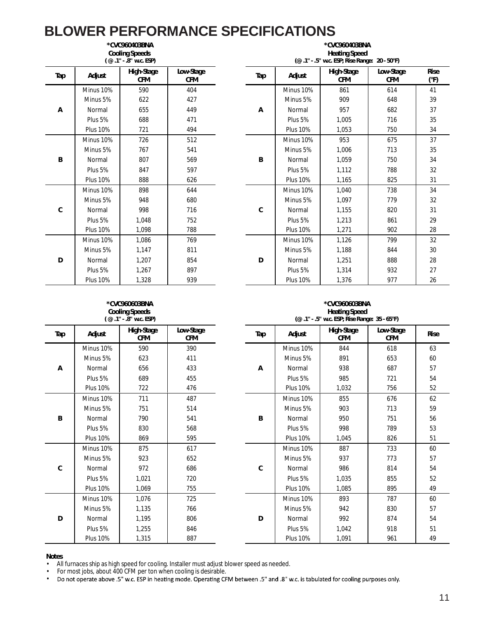|     | *CVC960403BNA<br><b>Cooling Speeds</b><br>(@.1" - .8" w.c. ESP) |                          |                         |  |  |  |  |  |
|-----|-----------------------------------------------------------------|--------------------------|-------------------------|--|--|--|--|--|
| Tap | Adjust                                                          | High-Stage<br><b>CFM</b> | Low-Stage<br><b>CFM</b> |  |  |  |  |  |
|     | Minus 10%                                                       | 590                      | 404                     |  |  |  |  |  |
|     | Minus 5%                                                        | 622                      | 427                     |  |  |  |  |  |
| Α   | Normal                                                          | 655                      | 449                     |  |  |  |  |  |
|     | Plus 5%                                                         | 688                      | 471                     |  |  |  |  |  |
|     | <b>Plus 10%</b>                                                 | 721                      | 494                     |  |  |  |  |  |
|     | Minus 10%                                                       | 726                      | 512                     |  |  |  |  |  |
|     | Minus 5%                                                        | 767                      | 541                     |  |  |  |  |  |
| B   | Normal                                                          | 807                      | 569                     |  |  |  |  |  |
|     | Plus 5%                                                         | 847                      | 597                     |  |  |  |  |  |
|     | <b>Plus 10%</b>                                                 | 888                      | 626                     |  |  |  |  |  |
|     | Minus 10%                                                       | 898                      | 644                     |  |  |  |  |  |
|     | Minus 5%                                                        | 948                      | 680                     |  |  |  |  |  |
| C   | Normal                                                          | 998                      | 716                     |  |  |  |  |  |
|     | Plus 5%                                                         | 1,048                    | 752                     |  |  |  |  |  |
|     | <b>Plus 10%</b>                                                 | 1.098                    | 788                     |  |  |  |  |  |
|     | Minus 10%                                                       | 1,086                    | 769                     |  |  |  |  |  |
|     | Minus 5%                                                        | 1,147                    | 811                     |  |  |  |  |  |
| D   | Normal                                                          | 1,207                    | 854                     |  |  |  |  |  |
|     | Plus 5%                                                         | 1,267                    | 897                     |  |  |  |  |  |
|     | <b>Plus 10%</b>                                                 | 1,328                    | 939                     |  |  |  |  |  |

| *CVC960403BNA<br><b>Cooling Speeds</b><br>(@.1" - .8" w.c. ESP) |                          |                         | *CVC960403BNA<br><b>Heating Speed</b><br>(@.1" - .5" w.c. ESP; Rise Range: 20 - 50°F) |                 |                          |                         |                     |  |  |
|-----------------------------------------------------------------|--------------------------|-------------------------|---------------------------------------------------------------------------------------|-----------------|--------------------------|-------------------------|---------------------|--|--|
| Adjust                                                          | High-Stage<br><b>CFM</b> | Low-Stage<br><b>CFM</b> | Tap                                                                                   | Adjust          | High-Stage<br><b>CFM</b> | Low-Stage<br><b>CFM</b> | <b>Rise</b><br>(°F) |  |  |
| Minus 10%                                                       | 590                      | 404                     |                                                                                       | Minus 10%       | 861                      | 614                     | 41                  |  |  |
| Minus 5%                                                        | 622                      | 427                     |                                                                                       | Minus 5%        | 909                      | 648                     | 39                  |  |  |
| Normal                                                          | 655                      | 449                     | A                                                                                     | Normal          | 957                      | 682                     | 37                  |  |  |
| Plus 5%                                                         | 688                      | 471                     |                                                                                       | Plus 5%         | 1,005                    | 716                     | 35                  |  |  |
| <b>Plus 10%</b>                                                 | 721                      | 494                     |                                                                                       | <b>Plus 10%</b> | 1,053                    | 750                     | 34                  |  |  |
| Minus 10%                                                       | 726                      | 512                     |                                                                                       | Minus 10%       | 953                      | 675                     | 37                  |  |  |
| Minus 5%                                                        | 767                      | 541                     |                                                                                       | Minus 5%        | 1,006                    | 713                     | 35                  |  |  |
| Normal                                                          | 807                      | 569                     | B                                                                                     | Normal          | 1,059                    | 750                     | 34                  |  |  |
| Plus 5%                                                         | 847                      | 597                     |                                                                                       | Plus 5%         | 1,112                    | 788                     | 32                  |  |  |
| <b>Plus 10%</b>                                                 | 888                      | 626                     |                                                                                       | <b>Plus 10%</b> | 1,165                    | 825                     | 31                  |  |  |
| Minus 10%                                                       | 898                      | 644                     |                                                                                       | Minus 10%       | 1,040                    | 738                     | 34                  |  |  |
| Minus 5%                                                        | 948                      | 680                     |                                                                                       | Minus 5%        | 1,097                    | 779                     | 32                  |  |  |
| Normal                                                          | 998                      | 716                     | C                                                                                     | Normal          | 1,155                    | 820                     | 31                  |  |  |
| Plus 5%                                                         | 1.048                    | 752                     |                                                                                       | Plus 5%         | 1,213                    | 861                     | 29                  |  |  |
| <b>Plus 10%</b>                                                 | 1,098                    | 788                     |                                                                                       | <b>Plus 10%</b> | 1,271                    | 902                     | 28                  |  |  |
| Minus 10%                                                       | 1,086                    | 769                     |                                                                                       | Minus 10%       | 1,126                    | 799                     | 32                  |  |  |
| Minus 5%                                                        | 1,147                    | 811                     |                                                                                       | Minus 5%        | 1,188                    | 844                     | 30                  |  |  |
| Normal                                                          | 1,207                    | 854                     | D                                                                                     | Normal          | 1,251                    | 888                     | 28                  |  |  |
| Plus 5%                                                         | 1,267                    | 897                     |                                                                                       | Plus 5%         | 1,314                    | 932                     | 27                  |  |  |
| <b>Plus 10%</b>                                                 | 1,328                    | 939                     |                                                                                       | <b>Plus 10%</b> | 1,376                    | 977                     | 26                  |  |  |

#### **\*CVC960603BNA Cooling Speeds ( @ .1" - .8" w.c. ESP)**

|     |                                                                                                                                                                                                                           | / 97.U. C. T. 99 ) ، U. C. L. P |                         |  |
|-----|---------------------------------------------------------------------------------------------------------------------------------------------------------------------------------------------------------------------------|---------------------------------|-------------------------|--|
| Tap | Adjust                                                                                                                                                                                                                    | High-Stage<br><b>CFM</b>        | Low-Stage<br><b>CFM</b> |  |
|     | Minus 10%                                                                                                                                                                                                                 | 590                             | 390                     |  |
|     | Minus 5%                                                                                                                                                                                                                  | 623                             | 411                     |  |
| А   | Normal                                                                                                                                                                                                                    | 656                             | 433                     |  |
|     | Plus 5%                                                                                                                                                                                                                   | 689                             | 455                     |  |
|     | <b>Plus 10%</b><br>Minus 10%<br>Minus 5%<br>Normal<br><b>Plus 5%</b><br><b>Plus 10%</b><br>Minus 10%<br>Minus 5%<br>Normal<br>Plus 5%<br><b>Plus 10%</b><br>Minus 10%<br>Minus 5%<br>Normal<br>Plus 5%<br><b>Plus 10%</b> | 722                             | 476                     |  |
|     |                                                                                                                                                                                                                           | 711                             | 487                     |  |
|     |                                                                                                                                                                                                                           | 751                             | 514                     |  |
| B   |                                                                                                                                                                                                                           | 790                             | 541                     |  |
|     |                                                                                                                                                                                                                           | 830                             | 568                     |  |
|     |                                                                                                                                                                                                                           | 869                             | 595                     |  |
|     |                                                                                                                                                                                                                           | 875                             | 617                     |  |
|     |                                                                                                                                                                                                                           | 923                             | 652                     |  |
| C   |                                                                                                                                                                                                                           | 972                             | 686                     |  |
|     |                                                                                                                                                                                                                           | 1,021                           | 720                     |  |
|     |                                                                                                                                                                                                                           | 1,069                           | 755                     |  |
|     |                                                                                                                                                                                                                           | 1,076                           | 725                     |  |
|     |                                                                                                                                                                                                                           | 1,135                           | 766                     |  |
| D   |                                                                                                                                                                                                                           | 1,195                           | 806                     |  |
|     |                                                                                                                                                                                                                           | 1,255                           | 846                     |  |
|     |                                                                                                                                                                                                                           | 1,315                           | 887                     |  |

#### **\*CVC960603BNA Heating Speed (@ .1" - .5" w.c. ESP; Rise Range: 35 - 65°F)**

| $\sim\cdot\cdot$ |                          |                         |            |                 | $\frac{1}{2}$ w.c. Let $\frac{1}{2}$ muscle narring $\frac{1}{2}$ . So $\frac{1}{2}$ |                         |             |
|------------------|--------------------------|-------------------------|------------|-----------------|--------------------------------------------------------------------------------------|-------------------------|-------------|
| Adjust           | High-Stage<br><b>CFM</b> | Low-Stage<br><b>CFM</b> | <b>Tap</b> | Adjust          | High-Stage<br><b>CFM</b>                                                             | Low-Stage<br><b>CFM</b> | <b>Rise</b> |
| Minus 10%        | 590                      | 390                     |            | Minus 10%       | 844                                                                                  | 618                     | 63          |
| Minus 5%         | 623                      | 411                     |            | Minus 5%        | 891                                                                                  | 653                     | 60          |
| Normal           | 656                      | 433                     | Α          | Normal          | 938                                                                                  | 687                     | 57          |
| Plus 5%          | 689                      | 455                     |            | Plus 5%         | 985                                                                                  | 721                     | 54          |
| <b>Plus 10%</b>  | 722                      | 476                     |            | <b>Plus 10%</b> | 1,032                                                                                | 756                     | 52          |
| Minus 10%        | 711                      | 487                     |            | Minus 10%       | 855                                                                                  | 676                     | 62          |
| Minus 5%         | 751                      | 514                     |            | Minus 5%        | 903                                                                                  | 713                     | 59          |
| Normal           | 790                      | 541                     | B          | Normal          | 950                                                                                  | 751                     | 56          |
| Plus 5%          | 830                      | 568                     |            | Plus 5%         | 998                                                                                  | 789                     | 53          |
| <b>Plus 10%</b>  | 869                      | 595                     |            | <b>Plus 10%</b> | 1,045                                                                                | 826                     | 51          |
| Minus 10%        | 875                      | 617                     |            | Minus 10%       | 887                                                                                  | 733                     | 60          |
| Minus 5%         | 923                      | 652                     |            | Minus 5%        | 937                                                                                  | 773                     | 57          |
| Normal           | 972                      | 686                     | C          | Normal          | 986                                                                                  | 814                     | 54          |
| Plus 5%          | 1,021                    | 720                     |            | Plus 5%         | 1,035                                                                                | 855                     | 52          |
| <b>Plus 10%</b>  | 1,069                    | 755                     |            | <b>Plus 10%</b> | 1,085                                                                                | 895                     | 49          |
| Minus 10%        | 1,076                    | 725                     |            | Minus 10%       | 893                                                                                  | 787                     | 60          |
| Minus 5%         | 1,135                    | 766                     |            | Minus 5%        | 942                                                                                  | 830                     | 57          |
| Normal           | 1,195                    | 806                     | D          | Normal          | 992                                                                                  | 874                     | 54          |
| Plus 5%          | 1,255                    | 846                     |            | Plus 5%         | 1,042                                                                                | 918                     | 51          |
| <b>Plus 10%</b>  | 1,315                    | 887                     |            | <b>Plus 10%</b> | 1,091                                                                                | 961                     | 49          |

### **Notes**

• All furnaces ship as high speed for cooling. Installer must adjust blower speed as needed.

• For most jobs, about 400 CFM per ton when cooling is desirable.

• Do not operate above .5" w.c. ESP in heating mode. Operating CFM between .5" and .8" w.c. is tabulated for cooling purposes only.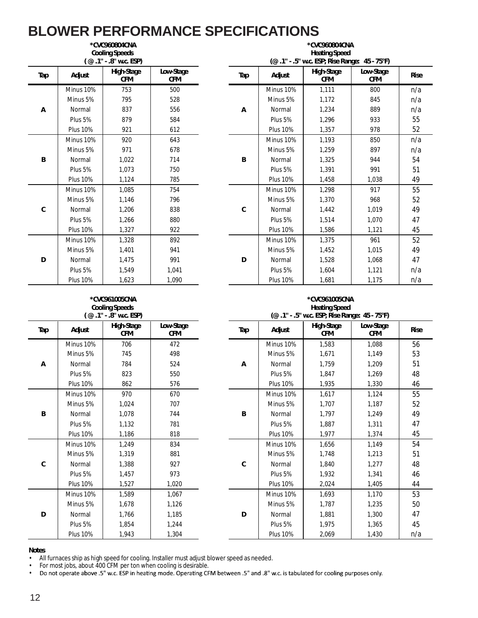|     | *CVC960804CNA<br><b>Cooling Speeds</b><br>(@.1" - .8" w.c. ESP) |                          |                         |  |  |  |  |
|-----|-----------------------------------------------------------------|--------------------------|-------------------------|--|--|--|--|
| Tap | Adjust                                                          | High-Stage<br><b>CFM</b> | Low-Stage<br><b>CFM</b> |  |  |  |  |
|     | Minus 10%                                                       | 753                      | 500                     |  |  |  |  |
|     | Minus 5%                                                        | 795                      | 528                     |  |  |  |  |
| А   | Normal                                                          | 837                      | 556                     |  |  |  |  |
|     | Plus 5%                                                         | 879                      | 584                     |  |  |  |  |
|     | <b>Plus 10%</b>                                                 | 921                      | 612                     |  |  |  |  |
|     | Minus 10%                                                       | 920                      | 643                     |  |  |  |  |
|     | Minus 5%                                                        | 971                      | 678                     |  |  |  |  |
| B   | Normal                                                          | 1,022                    | 714                     |  |  |  |  |
|     | Plus 5%                                                         | 1,073                    | 750                     |  |  |  |  |
|     | <b>Plus 10%</b>                                                 | 1,124                    | 785                     |  |  |  |  |
|     | Minus 10%                                                       | 1,085                    | 754                     |  |  |  |  |
|     | Minus 5%                                                        | 1,146                    | 796                     |  |  |  |  |
| C   | Normal                                                          | 1,206                    | 838                     |  |  |  |  |
|     | Plus 5%                                                         | 1,266                    | 880                     |  |  |  |  |
|     | <b>Plus 10%</b>                                                 | 1,327                    | 922                     |  |  |  |  |
|     | Minus 10%                                                       | 1,328                    | 892                     |  |  |  |  |
|     | Minus 5%                                                        | 1,401                    | 941                     |  |  |  |  |
| D   | Normal                                                          | 1,475                    | 991                     |  |  |  |  |
|     | Plus 5%                                                         | 1,549                    | 1,041                   |  |  |  |  |
|     | <b>Plus 10%</b>                                                 | 1,623                    | 1,090                   |  |  |  |  |

| *CVC960804CNA<br><b>Cooling Speeds</b><br>(@.1" - .8" w.c. ESP) |                          |                         | *CVC960804CNA<br><b>Heating Speed</b><br>(@.1" - .5" w.c. ESP; Rise Range: 45 - 75°F) |                 |                          |                         |             |  |  |
|-----------------------------------------------------------------|--------------------------|-------------------------|---------------------------------------------------------------------------------------|-----------------|--------------------------|-------------------------|-------------|--|--|
| Adjust                                                          | High-Stage<br><b>CFM</b> | Low-Stage<br><b>CFM</b> | Tap                                                                                   | Adjust          | High-Stage<br><b>CFM</b> | Low-Stage<br><b>CFM</b> | <b>Rise</b> |  |  |
| Minus 10%                                                       | 753                      | 500                     |                                                                                       | Minus 10%       | 1,111                    | 800                     | n/a         |  |  |
| Minus 5%                                                        | 795                      | 528                     |                                                                                       | Minus 5%        | 1,172                    | 845                     | n/a         |  |  |
| Normal                                                          | 837                      | 556                     | Α                                                                                     | Normal          | 1,234                    | 889                     | n/a         |  |  |
| Plus 5%                                                         | 879                      | 584                     |                                                                                       | Plus 5%         | 1,296                    | 933                     | 55          |  |  |
| <b>Plus 10%</b>                                                 | 921                      | 612                     |                                                                                       | <b>Plus 10%</b> | 1,357                    | 978                     | 52          |  |  |
| Minus 10%                                                       | 920                      | 643                     |                                                                                       | Minus 10%       | 1,193                    | 850                     | n/a         |  |  |
| Minus 5%                                                        | 971                      | 678                     |                                                                                       | Minus 5%        | 1,259                    | 897                     | n/a         |  |  |
| Normal                                                          | 1,022                    | 714                     | B                                                                                     | Normal          | 1,325                    | 944                     | 54          |  |  |
| Plus 5%                                                         | 1.073                    | 750                     |                                                                                       | Plus 5%         | 1.391                    | 991                     | 51          |  |  |
| <b>Plus 10%</b>                                                 | 1,124                    | 785                     |                                                                                       | <b>Plus 10%</b> | 1,458                    | 1.038                   | 49          |  |  |
| Minus 10%                                                       | 1,085                    | 754                     |                                                                                       | Minus 10%       | 1,298                    | 917                     | 55          |  |  |
| Minus 5%                                                        | 1,146                    | 796                     |                                                                                       | Minus 5%        | 1,370                    | 968                     | 52          |  |  |
| Normal                                                          | 1,206                    | 838                     | C                                                                                     | Normal          | 1,442                    | 1,019                   | 49          |  |  |
| Plus 5%                                                         | 1,266                    | 880                     |                                                                                       | Plus 5%         | 1,514                    | 1.070                   | 47          |  |  |
| <b>Plus 10%</b>                                                 | 1,327                    | 922                     |                                                                                       | <b>Plus 10%</b> | 1,586                    | 1,121                   | 45          |  |  |
| Minus 10%                                                       | 1,328                    | 892                     |                                                                                       | Minus 10%       | 1,375                    | 961                     | 52          |  |  |
| Minus 5%                                                        | 1,401                    | 941                     |                                                                                       | Minus 5%        | 1,452                    | 1,015                   | 49          |  |  |
| Normal                                                          | 1,475                    | 991                     | D                                                                                     | Normal          | 1,528                    | 1,068                   | 47          |  |  |
| Plus 5%                                                         | 1,549                    | 1,041                   |                                                                                       | Plus 5%         | 1,604                    | 1,121                   | n/a         |  |  |
| <b>Plus 10%</b>                                                 | 1,623                    | 1,090                   |                                                                                       | <b>Plus 10%</b> | 1,681                    | 1,175                   | n/a         |  |  |

### **\*CVC961005CNA Cooling Speeds**

| (@ .1" - .8" w.c. ESP) |                 |                          |                         |  |  |  |
|------------------------|-----------------|--------------------------|-------------------------|--|--|--|
| Tap                    | Adjust          | High-Stage<br><b>CFM</b> | Low-Stage<br><b>CFM</b> |  |  |  |
|                        | Minus 10%       | 706                      | 472                     |  |  |  |
| А                      | Minus 5%        | 745                      | 498                     |  |  |  |
|                        | Normal          | 784                      | 524                     |  |  |  |
|                        | Plus 5%         | 823                      | 550                     |  |  |  |
|                        | <b>Plus 10%</b> | 862                      | 576                     |  |  |  |
|                        | Minus 10%       | 970                      | 670                     |  |  |  |
|                        | Minus 5%        | 1,024                    | 707                     |  |  |  |
| B                      | Normal          | 1,078                    | 744                     |  |  |  |
|                        | Plus 5%         | 1,132                    | 781                     |  |  |  |
|                        | <b>Plus 10%</b> | 1,186                    | 818                     |  |  |  |
|                        | Minus 10%       | 1,249                    | 834                     |  |  |  |
| C                      | Minus 5%        | 1,319                    | 881                     |  |  |  |
|                        | Normal          | 1,388                    | 927                     |  |  |  |
|                        | Plus 5%         | 1,457                    | 973                     |  |  |  |
|                        | <b>Plus 10%</b> | 1,527                    | 1,020                   |  |  |  |
| D                      | Minus 10%       | 1.589                    | 1.067                   |  |  |  |
|                        | Minus 5%        | 1,678                    | 1,126                   |  |  |  |
|                        | Normal          | 1,766                    | 1,185                   |  |  |  |
|                        | Plus 5%         | 1,854                    | 1,244                   |  |  |  |
|                        | <b>Plus 10%</b> | 1,943                    | 1,304                   |  |  |  |

#### **\*CVC961005CNA Heating Speed (@ .1" - .5" w.c. ESP; Rise Range: 45 - 75°F)**

| . ت<br>$-.0$ W.J. LJI J |                   |                  |     |                 |                   |                         |             |
|-------------------------|-------------------|------------------|-----|-----------------|-------------------|-------------------------|-------------|
| Adjust                  | High-Stage<br>CFM | Low-Stage<br>CFM | Tap | Adjust          | High-Stage<br>CFM | Low-Stage<br><b>CFM</b> | <b>Rise</b> |
| Minus 10%               | 706               | 472              |     | Minus 10%       | 1,583             | 1,088                   | 56          |
| Minus 5%                | 745               | 498              |     | Minus 5%        | 1,671             | 1,149                   | 53          |
| Normal                  | 784               | 524              | Α   | Normal          | 1,759             | 1,209                   | 51          |
| Plus 5%                 | 823               | 550              |     | Plus 5%         | 1,847             | 1,269                   | 48          |
| <b>Plus 10%</b>         | 862               | 576              |     | <b>Plus 10%</b> | 1,935             | 1,330                   | 46          |
| Minus 10%               | 970               | 670              |     | Minus 10%       | 1,617             | 1,124                   | 55          |
| Minus 5%                | 1,024             | 707              |     | Minus 5%        | 1,707             | 1,187                   | 52          |
| Normal                  | 1,078             | 744              | B   | Normal          | 1,797             | 1,249                   | 49          |
| Plus 5%                 | 1,132             | 781              |     | Plus 5%         | 1,887             | 1,311                   | 47          |
| <b>Plus 10%</b>         | 1,186             | 818              |     | <b>Plus 10%</b> | 1,977             | 1,374                   | 45          |
| Minus 10%               | 1,249             | 834              |     | Minus 10%       | 1,656             | 1,149                   | 54          |
| Minus 5%                | 1,319             | 881              |     | Minus 5%        | 1,748             | 1,213                   | 51          |
| Normal                  | 1,388             | 927              | C   | Normal          | 1,840             | 1,277                   | 48          |
| Plus 5%                 | 1,457             | 973              |     | Plus 5%         | 1,932             | 1,341                   | 46          |
| <b>Plus 10%</b>         | 1,527             | 1,020            |     | <b>Plus 10%</b> | 2,024             | 1,405                   | 44          |
| Minus 10%               | 1,589             | 1,067            |     | Minus 10%       | 1,693             | 1,170                   | 53          |
| Minus 5%                | 1,678             | 1,126            |     | Minus 5%        | 1,787             | 1,235                   | 50          |
| Normal                  | 1,766             | 1,185            | D   | Normal          | 1,881             | 1,300                   | 47          |
| Plus 5%                 | 1,854             | 1,244            |     | Plus 5%         | 1,975             | 1,365                   | 45          |
| <b>Plus 10%</b>         | 1,943             | 1,304            |     | <b>Plus 10%</b> | 2,069             | 1,430                   | n/a         |

## **Notes**

• All furnaces ship as high speed for cooling. Installer must adjust blower speed as needed.

• For most jobs, about 400 CFM per ton when cooling is desirable.

• Do not operate above .5" w.c. ESP in heating mode. Operating CFM between .5" and .8" w.c. is tabulated for cooling purposes only.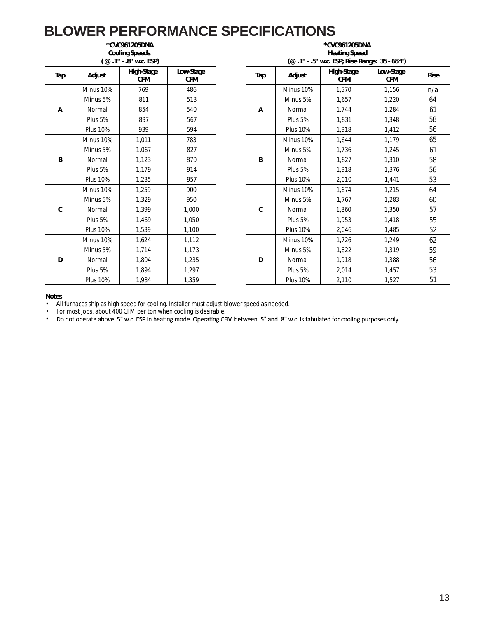### **BLOWER PERFORMANCE SPECIFICATIONS \*CVC961205DNA \*CVC961205DNA**

| ^CVC961ZU5DNA<br><b>Cooling Speeds</b><br>$(Q.1" - .8"$ w.c. ESP) |                 |                          |                         |  |  |
|-------------------------------------------------------------------|-----------------|--------------------------|-------------------------|--|--|
| Tap                                                               | Adjust          | High-Stage<br><b>CFM</b> | Low-Stage<br><b>CFM</b> |  |  |
|                                                                   | Minus 10%       | 769                      | 486                     |  |  |
|                                                                   | Minus 5%        | 811                      | 513                     |  |  |
| A                                                                 | Normal          | 854                      | 540                     |  |  |
|                                                                   | Plus 5%         | 897                      | 567                     |  |  |
|                                                                   | <b>Plus 10%</b> | 939                      | 594                     |  |  |
|                                                                   | Minus 10%       | 1,011                    | 783                     |  |  |
|                                                                   | Minus 5%        | 1,067                    | 827                     |  |  |
| B                                                                 | Normal          | 1,123                    | 870                     |  |  |
|                                                                   | Plus 5%         | 1,179                    | 914                     |  |  |
|                                                                   | <b>Plus 10%</b> | 1,235                    | 957                     |  |  |
|                                                                   | Minus 10%       | 1,259                    | 900                     |  |  |
|                                                                   | Minus 5%        | 1,329                    | 950                     |  |  |
| C                                                                 | Normal          | 1,399                    | 1,000                   |  |  |
|                                                                   | Plus 5%         | 1,469                    | 1,050                   |  |  |
|                                                                   | <b>Plus 10%</b> | 1,539                    | 1,100                   |  |  |
| D                                                                 | Minus 10%       | 1,624                    | 1,112                   |  |  |
|                                                                   | Minus 5%        | 1,714                    | 1,173                   |  |  |
|                                                                   | Normal          | 1,804                    | 1,235                   |  |  |
|                                                                   | Plus 5%         | 1,894                    | 1,297                   |  |  |
|                                                                   | <b>Plus 10%</b> | 1,984                    | 1,359                   |  |  |

| <b>Cooling Speeds</b><br>(@.1" - .8" w.c. ESP) |                          |                         | <b>Heating Speed</b><br>(@ .1" - .5" w.c. ESP; Rise Range: 35 - 65°F) |                 |                          |                         |             |
|------------------------------------------------|--------------------------|-------------------------|-----------------------------------------------------------------------|-----------------|--------------------------|-------------------------|-------------|
| Adjust                                         | High-Stage<br><b>CFM</b> | Low-Stage<br><b>CFM</b> | Tap                                                                   | Adjust          | High-Stage<br><b>CFM</b> | Low-Stage<br><b>CFM</b> | <b>Rise</b> |
| Minus 10%                                      | 769                      | 486                     |                                                                       | Minus 10%       | 1,570                    | 1,156                   | n/a         |
| Minus 5%                                       | 811                      | 513                     |                                                                       | Minus 5%        | 1,657                    | 1,220                   | 64          |
| Normal                                         | 854                      | 540                     | Α                                                                     | Normal          | 1,744                    | 1,284                   | 61          |
| Plus 5%                                        | 897                      | 567                     |                                                                       | Plus 5%         | 1,831                    | 1,348                   | 58          |
| <b>Plus 10%</b>                                | 939                      | 594                     |                                                                       | <b>Plus 10%</b> | 1,918                    | 1,412                   | 56          |
| Minus 10%                                      | 1,011                    | 783                     |                                                                       | Minus 10%       | 1,644                    | 1,179                   | 65          |
| Minus 5%                                       | 1,067                    | 827                     |                                                                       | Minus 5%        | 1,736                    | 1,245                   | 61          |
| Normal                                         | 1,123                    | 870                     | B                                                                     | Normal          | 1,827                    | 1,310                   | 58          |
| Plus 5%                                        | 1,179                    | 914                     |                                                                       | Plus 5%         | 1,918                    | 1,376                   | 56          |
| <b>Plus 10%</b>                                | 1,235                    | 957                     |                                                                       | <b>Plus 10%</b> | 2,010                    | 1,441                   | 53          |
| Minus 10%                                      | 1,259                    | 900                     |                                                                       | Minus 10%       | 1,674                    | 1,215                   | 64          |
| Minus 5%                                       | 1,329                    | 950                     |                                                                       | Minus 5%        | 1,767                    | 1,283                   | 60          |
| Normal                                         | 1,399                    | 1,000                   | C                                                                     | Normal          | 1,860                    | 1,350                   | 57          |
| Plus 5%                                        | 1,469                    | 1,050                   |                                                                       | Plus 5%         | 1,953                    | 1,418                   | 55          |
| <b>Plus 10%</b>                                | 1,539                    | 1,100                   |                                                                       | <b>Plus 10%</b> | 2,046                    | 1,485                   | 52          |
| Minus 10%                                      | 1,624                    | 1,112                   |                                                                       | Minus 10%       | 1,726                    | 1,249                   | 62          |
| Minus 5%                                       | 1,714                    | 1,173                   |                                                                       | Minus 5%        | 1,822                    | 1,319                   | 59          |
| Normal                                         | 1,804                    | 1,235                   | D                                                                     | Normal          | 1,918                    | 1,388                   | 56          |
| Plus 5%                                        | 1,894                    | 1,297                   |                                                                       | Plus 5%         | 2,014                    | 1,457                   | 53          |
| <b>Plus 10%</b>                                | 1,984                    | 1,359                   |                                                                       | <b>Plus 10%</b> | 2,110                    | 1,527                   | 51          |

### **Notes**

• All furnaces ship as high speed for cooling. Installer must adjust blower speed as needed.

• For most jobs, about 400 CFM per ton when cooling is desirable.

•